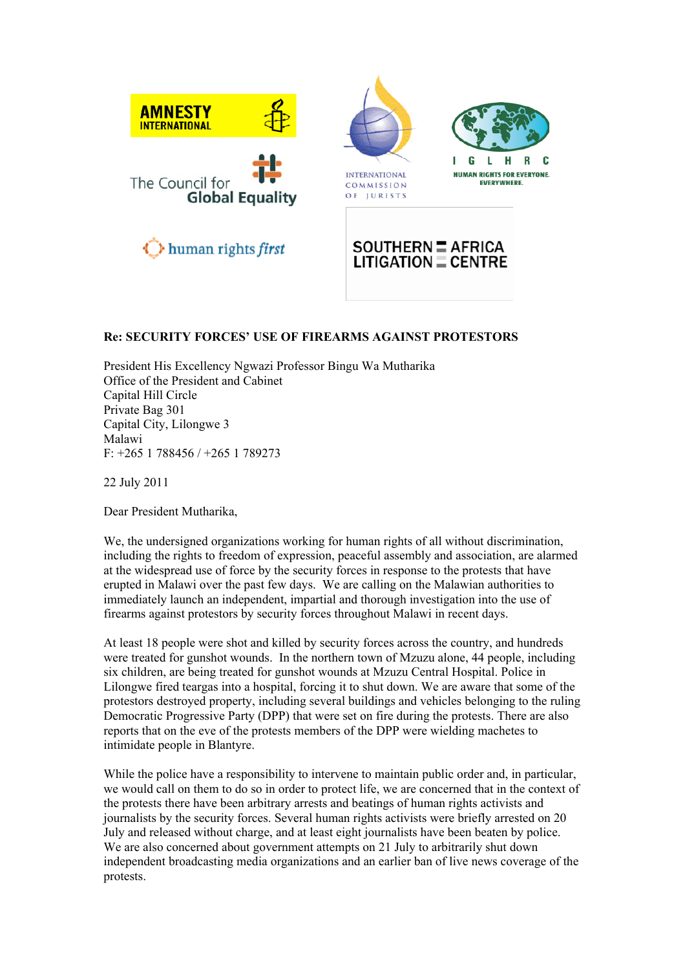

## **Re: SECURITY FORCES' USE OF FIREARMS AGAINST PROTESTORS**

President His Excellency Ngwazi Professor Bingu Wa Mutharika Office of the President and Cabinet Capital Hill Circle Private Bag 301 Capital City, Lilongwe 3 Malawi F: +265 1 788456 / +265 1 789273

22 July 2011

Dear President Mutharika,

We, the undersigned organizations working for human rights of all without discrimination, including the rights to freedom of expression, peaceful assembly and association, are alarmed at the widespread use of force by the security forces in response to the protests that have erupted in Malawi over the past few days. We are calling on the Malawian authorities to immediately launch an independent, impartial and thorough investigation into the use of firearms against protestors by security forces throughout Malawi in recent days.

At least 18 people were shot and killed by security forces across the country, and hundreds were treated for gunshot wounds. In the northern town of Mzuzu alone, 44 people, including six children, are being treated for gunshot wounds at Mzuzu Central Hospital. Police in Lilongwe fired teargas into a hospital, forcing it to shut down. We are aware that some of the protestors destroyed property, including several buildings and vehicles belonging to the ruling Democratic Progressive Party (DPP) that were set on fire during the protests. There are also reports that on the eve of the protests members of the DPP were wielding machetes to intimidate people in Blantyre.

While the police have a responsibility to intervene to maintain public order and, in particular, we would call on them to do so in order to protect life, we are concerned that in the context of the protests there have been arbitrary arrests and beatings of human rights activists and journalists by the security forces. Several human rights activists were briefly arrested on 20 July and released without charge, and at least eight journalists have been beaten by police. We are also concerned about government attempts on 21 July to arbitrarily shut down independent broadcasting media organizations and an earlier ban of live news coverage of the protests.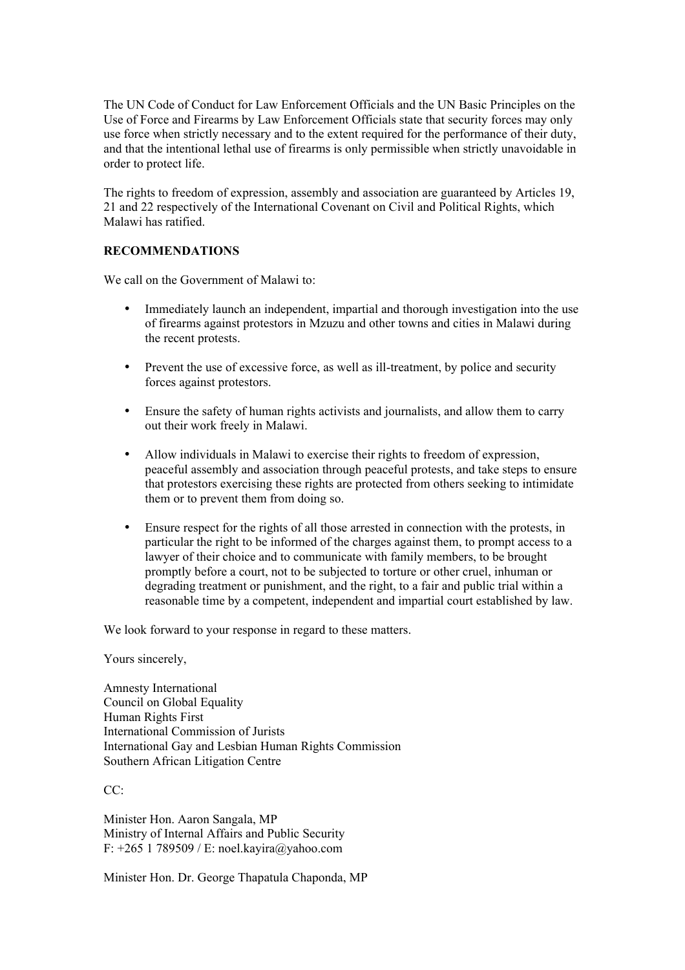The UN Code of Conduct for Law Enforcement Officials and the UN Basic Principles on the Use of Force and Firearms by Law Enforcement Officials state that security forces may only use force when strictly necessary and to the extent required for the performance of their duty, and that the intentional lethal use of firearms is only permissible when strictly unavoidable in order to protect life.

The rights to freedom of expression, assembly and association are guaranteed by Articles 19, 21 and 22 respectively of the International Covenant on Civil and Political Rights, which Malawi has ratified.

## **RECOMMENDATIONS**

We call on the Government of Malawi to:

- Immediately launch an independent, impartial and thorough investigation into the use of firearms against protestors in Mzuzu and other towns and cities in Malawi during the recent protests.
- Prevent the use of excessive force, as well as ill-treatment, by police and security forces against protestors.
- Ensure the safety of human rights activists and journalists, and allow them to carry out their work freely in Malawi.
- Allow individuals in Malawi to exercise their rights to freedom of expression, peaceful assembly and association through peaceful protests, and take steps to ensure that protestors exercising these rights are protected from others seeking to intimidate them or to prevent them from doing so.
- Ensure respect for the rights of all those arrested in connection with the protests, in particular the right to be informed of the charges against them, to prompt access to a lawyer of their choice and to communicate with family members, to be brought promptly before a court, not to be subjected to torture or other cruel, inhuman or degrading treatment or punishment, and the right, to a fair and public trial within a reasonable time by a competent, independent and impartial court established by law.

We look forward to your response in regard to these matters.

Yours sincerely,

Amnesty International Council on Global Equality Human Rights First International Commission of Jurists International Gay and Lesbian Human Rights Commission Southern African Litigation Centre

 $CC^{\cdot}$ 

Minister Hon. Aaron Sangala, MP Ministry of Internal Affairs and Public Security F: +265 1 789509 / E: noel.kayira@yahoo.com

Minister Hon. Dr. George Thapatula Chaponda, MP